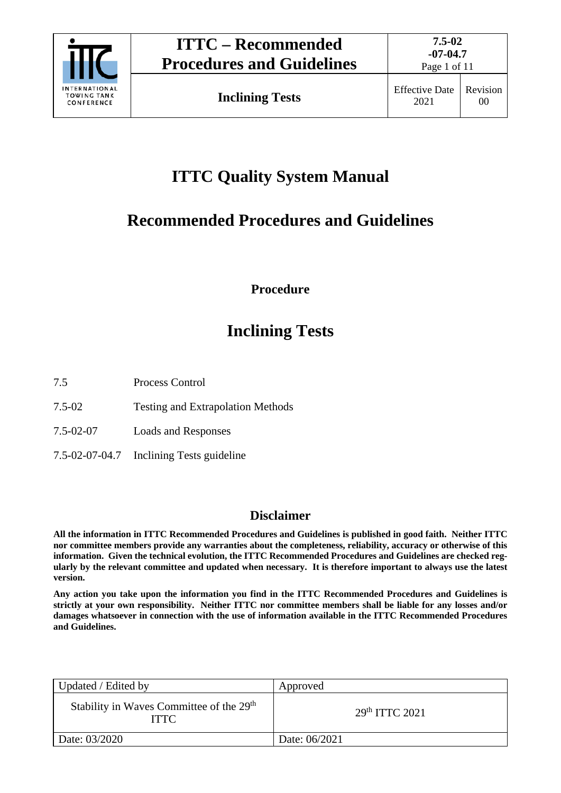

# **ITTC Quality System Manual**

# **Recommended Procedures and Guidelines**

**Procedure**

# **Inclining Tests**

7.5 Process Control

- 7.5-02 Testing and Extrapolation Methods
- 7.5-02-07 Loads and Responses
- 7.5-02-07-04.7 Inclining Tests guideline

### **Disclaimer**

**All the information in ITTC Recommended Procedures and Guidelines is published in good faith. Neither ITTC nor committee members provide any warranties about the completeness, reliability, accuracy or otherwise of this information. Given the technical evolution, the ITTC Recommended Procedures and Guidelines are checked regularly by the relevant committee and updated when necessary. It is therefore important to always use the latest version.**

**Any action you take upon the information you find in the ITTC Recommended Procedures and Guidelines is strictly at your own responsibility. Neither ITTC nor committee members shall be liable for any losses and/or damages whatsoever in connection with the use of information available in the ITTC Recommended Procedures and Guidelines.**

| Updated / Edited by                                                 | Approved                   |
|---------------------------------------------------------------------|----------------------------|
| Stability in Waves Committee of the 29 <sup>th</sup><br><b>ITTC</b> | 29 <sup>th</sup> TTTC 2021 |
| Date: 03/2020                                                       | Date: 06/2021              |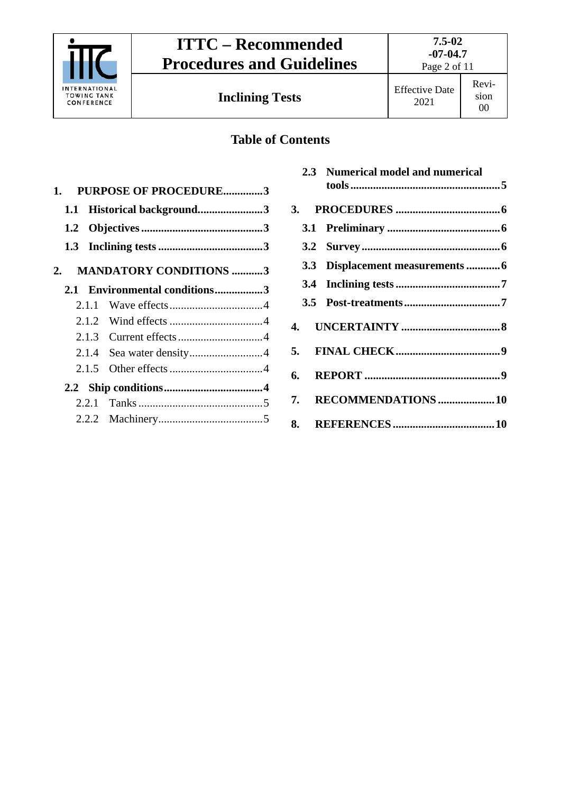

Page 2 of 11

Revision 00

### **Table of Contents**

| 1.  |       | <b>PURPOSE OF PROCEDURE3</b>     |  |
|-----|-------|----------------------------------|--|
| 1.1 |       | Historical background3           |  |
|     |       |                                  |  |
|     |       |                                  |  |
| 2.  |       | <b>MANDATORY CONDITIONS 3</b>    |  |
| 2.1 |       | <b>Environmental conditions3</b> |  |
|     | 2.1.1 |                                  |  |
|     |       |                                  |  |
|     |       |                                  |  |
|     | 2.1.4 |                                  |  |
|     | 2.1.5 |                                  |  |
|     |       |                                  |  |
|     | 2.2.1 |                                  |  |
|     |       |                                  |  |

|  | 2.3 Numerical model and numerical |  |
|--|-----------------------------------|--|
|  |                                   |  |
|  |                                   |  |
|  |                                   |  |
|  | 3.3 Displacement measurements  6  |  |
|  |                                   |  |
|  |                                   |  |
|  |                                   |  |
|  |                                   |  |
|  |                                   |  |
|  | 7. RECOMMENDATIONS 10             |  |
|  |                                   |  |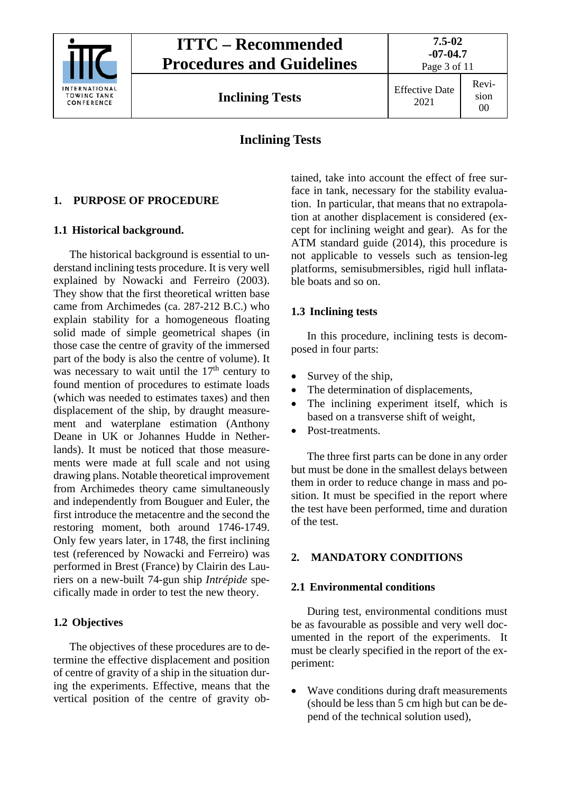

**7.5-02 -07-04.7** Page 3 of 11

**Inclining Tests** Effective Date

#### Revision 00

### **Inclining Tests**

### <span id="page-2-1"></span><span id="page-2-0"></span>**1. PURPOSE OF PROCEDURE**

### **1.1 Historical background.**

The historical background is essential to understand inclining tests procedure. It is very well explained by Nowacki and Ferreiro (2003). They show that the first theoretical written base came from Archimedes (ca. 287-212 B.C.) who explain stability for a homogeneous floating solid made of simple geometrical shapes (in those case the centre of gravity of the immersed part of the body is also the centre of volume). It was necessary to wait until the  $17<sup>th</sup>$  century to found mention of procedures to estimate loads (which was needed to estimates taxes) and then displacement of the ship, by draught measurement and waterplane estimation (Anthony Deane in UK or Johannes Hudde in Netherlands). It must be noticed that those measurements were made at full scale and not using drawing plans. Notable theoretical improvement from Archimedes theory came simultaneously and independently from Bouguer and Euler, the first introduce the metacentre and the second the restoring moment, both around 1746-1749. Only few years later, in 1748, the first inclining test (referenced by Nowacki and Ferreiro) was performed in Brest (France) by Clairin des Lauriers on a new-built 74-gun ship *Intrépide* specifically made in order to test the new theory.

### <span id="page-2-2"></span>**1.2 Objectives**

The objectives of these procedures are to determine the effective displacement and position of centre of gravity of a ship in the situation during the experiments. Effective, means that the vertical position of the centre of gravity ob-

tained, take into account the effect of free surface in tank, necessary for the stability evaluation. In particular, that means that no extrapolation at another displacement is considered (except for inclining weight and gear). As for the ATM standard guide (2014), this procedure is not applicable to vessels such as tension-leg platforms, semisubmersibles, rigid hull inflatable boats and so on.

### <span id="page-2-3"></span>**1.3 Inclining tests**

In this procedure, inclining tests is decomposed in four parts:

- Survey of the ship,
- The determination of displacements,
- The inclining experiment itself, which is based on a transverse shift of weight,
- Post-treatments.

The three first parts can be done in any order but must be done in the smallest delays between them in order to reduce change in mass and position. It must be specified in the report where the test have been performed, time and duration of the test.

### <span id="page-2-5"></span><span id="page-2-4"></span>**2. MANDATORY CONDITIONS**

### **2.1 Environmental conditions**

During test, environmental conditions must be as favourable as possible and very well documented in the report of the experiments. It must be clearly specified in the report of the experiment:

• Wave conditions during draft measurements (should be less than 5 cm high but can be depend of the technical solution used),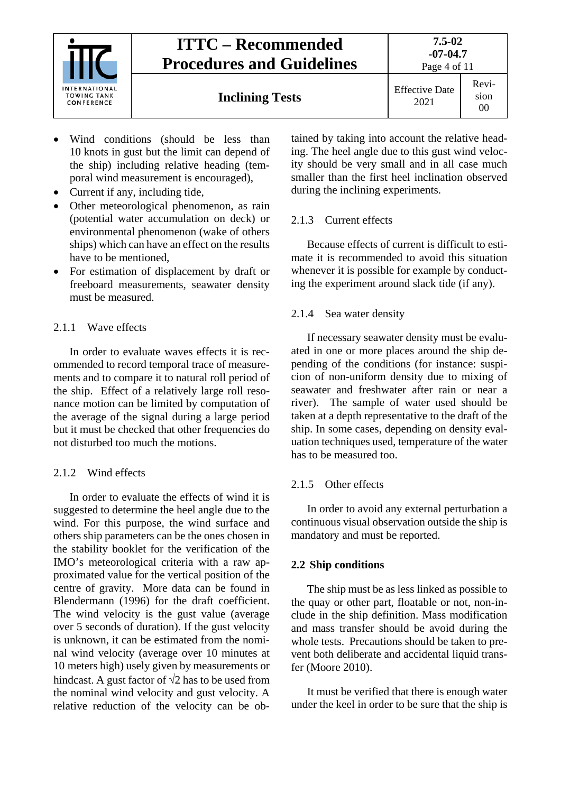

**Inclining Tests** Effective Date

- Wind conditions (should be less than 10 knots in gust but the limit can depend of the ship) including relative heading (temporal wind measurement is encouraged),
- Current if any, including tide,
- Other meteorological phenomenon, as rain (potential water accumulation on deck) or environmental phenomenon (wake of others ships) which can have an effect on the results have to be mentioned,
- For estimation of displacement by draft or freeboard measurements, seawater density must be measured.

### <span id="page-3-0"></span>2.1.1 Wave effects

In order to evaluate waves effects it is recommended to record temporal trace of measurements and to compare it to natural roll period of the ship. Effect of a relatively large roll resonance motion can be limited by computation of the average of the signal during a large period but it must be checked that other frequencies do not disturbed too much the motions.

### <span id="page-3-1"></span>2.1.2 Wind effects

In order to evaluate the effects of wind it is suggested to determine the heel angle due to the wind. For this purpose, the wind surface and others ship parameters can be the ones chosen in the stability booklet for the verification of the IMO's meteorological criteria with a raw approximated value for the vertical position of the centre of gravity. More data can be found in Blendermann (1996) for the draft coefficient. The wind velocity is the gust value (average over 5 seconds of duration). If the gust velocity is unknown, it can be estimated from the nominal wind velocity (average over 10 minutes at 10 meters high) usely given by measurements or hindcast. A gust factor of  $\sqrt{2}$  has to be used from the nominal wind velocity and gust velocity. A relative reduction of the velocity can be obtained by taking into account the relative heading. The heel angle due to this gust wind velocity should be very small and in all case much smaller than the first heel inclination observed during the inclining experiments.

### <span id="page-3-2"></span>2.1.3 Current effects

Because effects of current is difficult to estimate it is recommended to avoid this situation whenever it is possible for example by conducting the experiment around slack tide (if any).

### <span id="page-3-3"></span>2.1.4 Sea water density

If necessary seawater density must be evaluated in one or more places around the ship depending of the conditions (for instance: suspicion of non-uniform density due to mixing of seawater and freshwater after rain or near a river). The sample of water used should be taken at a depth representative to the draft of the ship. In some cases, depending on density evaluation techniques used, temperature of the water has to be measured too.

### <span id="page-3-4"></span>2.1.5 Other effects

In order to avoid any external perturbation a continuous visual observation outside the ship is mandatory and must be reported.

### <span id="page-3-5"></span>**2.2 Ship conditions**

The ship must be as less linked as possible to the quay or other part, floatable or not, non-include in the ship definition. Mass modification and mass transfer should be avoid during the whole tests. Precautions should be taken to prevent both deliberate and accidental liquid transfer (Moore 2010).

It must be verified that there is enough water under the keel in order to be sure that the ship is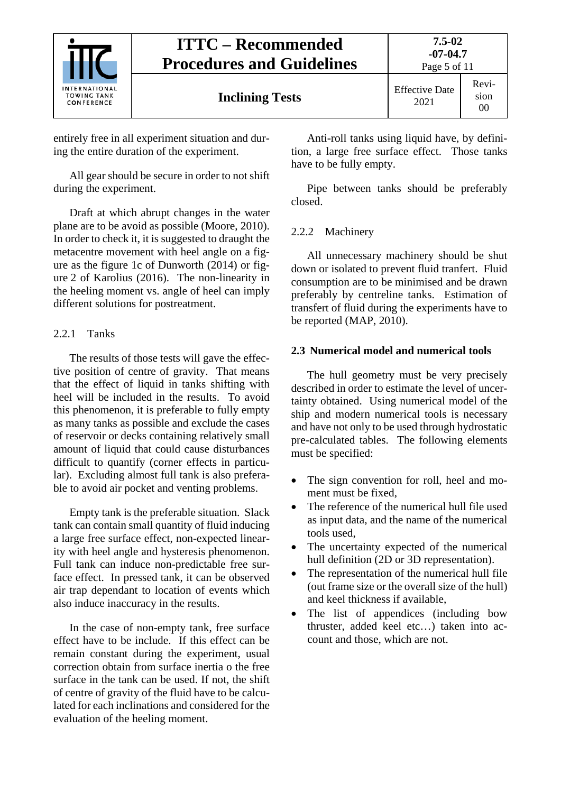

Page 5 of 11

entirely free in all experiment situation and during the entire duration of the experiment.

All gear should be secure in order to not shift during the experiment.

Draft at which abrupt changes in the water plane are to be avoid as possible (Moore, 2010). In order to check it, it is suggested to draught the metacentre movement with heel angle on a figure as the figure 1c of Dunworth (2014) or figure 2 of Karolius (2016). The non-linearity in the heeling moment vs. angle of heel can imply different solutions for postreatment.

### <span id="page-4-0"></span>2.2.1 Tanks

The results of those tests will gave the effective position of centre of gravity. That means that the effect of liquid in tanks shifting with heel will be included in the results. To avoid this phenomenon, it is preferable to fully empty as many tanks as possible and exclude the cases of reservoir or decks containing relatively small amount of liquid that could cause disturbances difficult to quantify (corner effects in particular). Excluding almost full tank is also preferable to avoid air pocket and venting problems.

Empty tank is the preferable situation. Slack tank can contain small quantity of fluid inducing a large free surface effect, non-expected linearity with heel angle and hysteresis phenomenon. Full tank can induce non-predictable free surface effect. In pressed tank, it can be observed air trap dependant to location of events which also induce inaccuracy in the results.

In the case of non-empty tank, free surface effect have to be include. If this effect can be remain constant during the experiment, usual correction obtain from surface inertia o the free surface in the tank can be used. If not, the shift of centre of gravity of the fluid have to be calculated for each inclinations and considered for the evaluation of the heeling moment.

Anti-roll tanks using liquid have, by definition, a large free surface effect. Those tanks have to be fully empty.

Pipe between tanks should be preferably closed.

### <span id="page-4-1"></span>2.2.2 Machinery

All unnecessary machinery should be shut down or isolated to prevent fluid tranfert. Fluid consumption are to be minimised and be drawn preferably by centreline tanks. Estimation of transfert of fluid during the experiments have to be reported (MAP, 2010).

### <span id="page-4-2"></span>**2.3 Numerical model and numerical tools**

The hull geometry must be very precisely described in order to estimate the level of uncertainty obtained. Using numerical model of the ship and modern numerical tools is necessary and have not only to be used through hydrostatic pre-calculated tables. The following elements must be specified:

- The sign convention for roll, heel and moment must be fixed,
- The reference of the numerical hull file used as input data, and the name of the numerical tools used,
- The uncertainty expected of the numerical hull definition (2D or 3D representation).
- The representation of the numerical hull file (out frame size or the overall size of the hull) and keel thickness if available,
- The list of appendices (including bow thruster, added keel etc…) taken into account and those, which are not.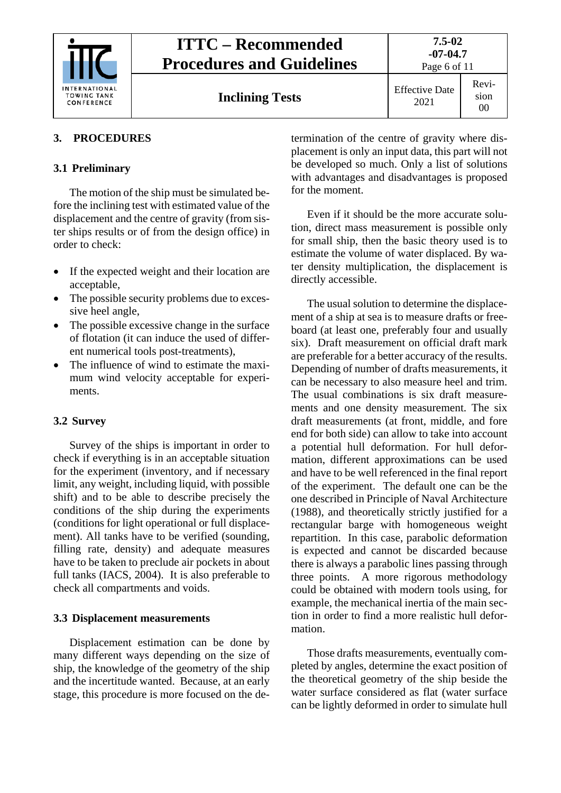

| <b>ITTC – Recommended</b>        |  |  |  |
|----------------------------------|--|--|--|
| <b>Procedures and Guidelines</b> |  |  |  |
|                                  |  |  |  |

Page 6 of 11

Revision 00

### <span id="page-5-1"></span><span id="page-5-0"></span>**3. PROCEDURES**

### **3.1 Preliminary**

The motion of the ship must be simulated before the inclining test with estimated value of the displacement and the centre of gravity (from sister ships results or of from the design office) in order to check:

- If the expected weight and their location are acceptable,
- The possible security problems due to excessive heel angle,
- The possible excessive change in the surface of flotation (it can induce the used of different numerical tools post-treatments),
- The influence of wind to estimate the maximum wind velocity acceptable for experiments.

### <span id="page-5-2"></span>**3.2 Survey**

Survey of the ships is important in order to check if everything is in an acceptable situation for the experiment (inventory, and if necessary limit, any weight, including liquid, with possible shift) and to be able to describe precisely the conditions of the ship during the experiments (conditions for light operational or full displacement). All tanks have to be verified (sounding, filling rate, density) and adequate measures have to be taken to preclude air pockets in about full tanks (IACS, 2004). It is also preferable to check all compartments and voids.

### <span id="page-5-3"></span>**3.3 Displacement measurements**

Displacement estimation can be done by many different ways depending on the size of ship, the knowledge of the geometry of the ship and the incertitude wanted. Because, at an early stage, this procedure is more focused on the determination of the centre of gravity where displacement is only an input data, this part will not be developed so much. Only a list of solutions with advantages and disadvantages is proposed for the moment.

Even if it should be the more accurate solution, direct mass measurement is possible only for small ship, then the basic theory used is to estimate the volume of water displaced. By water density multiplication, the displacement is directly accessible.

The usual solution to determine the displacement of a ship at sea is to measure drafts or freeboard (at least one, preferably four and usually six). Draft measurement on official draft mark are preferable for a better accuracy of the results. Depending of number of drafts measurements, it can be necessary to also measure heel and trim. The usual combinations is six draft measurements and one density measurement. The six draft measurements (at front, middle, and fore end for both side) can allow to take into account a potential hull deformation. For hull deformation, different approximations can be used and have to be well referenced in the final report of the experiment. The default one can be the one described in Principle of Naval Architecture (1988), and theoretically strictly justified for a rectangular barge with homogeneous weight repartition. In this case, parabolic deformation is expected and cannot be discarded because there is always a parabolic lines passing through three points. A more rigorous methodology could be obtained with modern tools using, for example, the mechanical inertia of the main section in order to find a more realistic hull deformation.

Those drafts measurements, eventually completed by angles, determine the exact position of the theoretical geometry of the ship beside the water surface considered as flat (water surface can be lightly deformed in order to simulate hull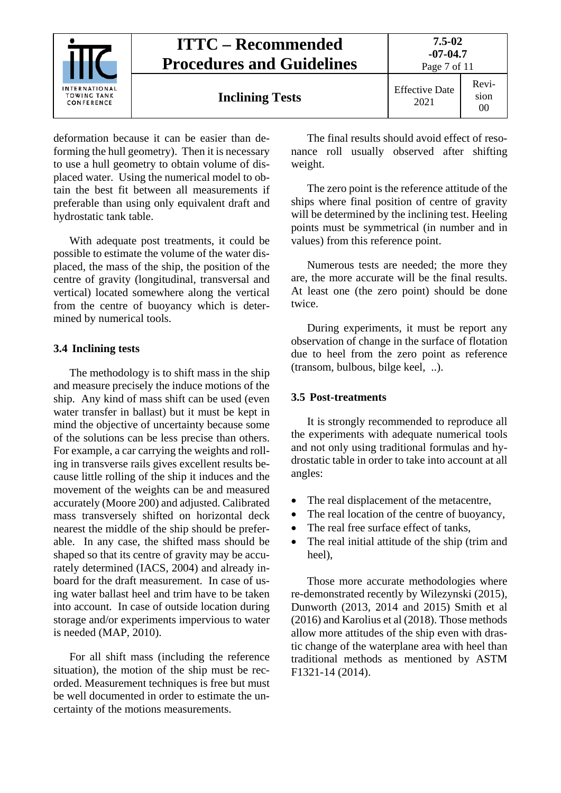

deformation because it can be easier than deforming the hull geometry). Then it is necessary to use a hull geometry to obtain volume of displaced water. Using the numerical model to obtain the best fit between all measurements if preferable than using only equivalent draft and hydrostatic tank table.

With adequate post treatments, it could be possible to estimate the volume of the water displaced, the mass of the ship, the position of the centre of gravity (longitudinal, transversal and vertical) located somewhere along the vertical from the centre of buoyancy which is determined by numerical tools.

#### <span id="page-6-0"></span>**3.4 Inclining tests**

The methodology is to shift mass in the ship and measure precisely the induce motions of the ship. Any kind of mass shift can be used (even water transfer in ballast) but it must be kept in mind the objective of uncertainty because some of the solutions can be less precise than others. For example, a car carrying the weights and rolling in transverse rails gives excellent results because little rolling of the ship it induces and the movement of the weights can be and measured accurately (Moore 200) and adjusted. Calibrated mass transversely shifted on horizontal deck nearest the middle of the ship should be preferable. In any case, the shifted mass should be shaped so that its centre of gravity may be accurately determined (IACS, 2004) and already inboard for the draft measurement. In case of using water ballast heel and trim have to be taken into account. In case of outside location during storage and/or experiments impervious to water is needed (MAP, 2010).

For all shift mass (including the reference situation), the motion of the ship must be recorded. Measurement techniques is free but must be well documented in order to estimate the uncertainty of the motions measurements.

The final results should avoid effect of resonance roll usually observed after shifting weight.

The zero point is the reference attitude of the ships where final position of centre of gravity will be determined by the inclining test. Heeling points must be symmetrical (in number and in values) from this reference point.

Numerous tests are needed; the more they are, the more accurate will be the final results. At least one (the zero point) should be done twice.

During experiments, it must be report any observation of change in the surface of flotation due to heel from the zero point as reference (transom, bulbous, bilge keel, ..).

#### <span id="page-6-1"></span>**3.5 Post-treatments**

It is strongly recommended to reproduce all the experiments with adequate numerical tools and not only using traditional formulas and hydrostatic table in order to take into account at all angles:

- The real displacement of the metacentre,
- The real location of the centre of buoyancy,
- The real free surface effect of tanks,
- The real initial attitude of the ship (trim and heel),

Those more accurate methodologies where re-demonstrated recently by Wilezynski (2015), Dunworth (2013, 2014 and 2015) Smith et al (2016) and Karolius et al (2018). Those methods allow more attitudes of the ship even with drastic change of the waterplane area with heel than traditional methods as mentioned by ASTM F1321-14 (2014).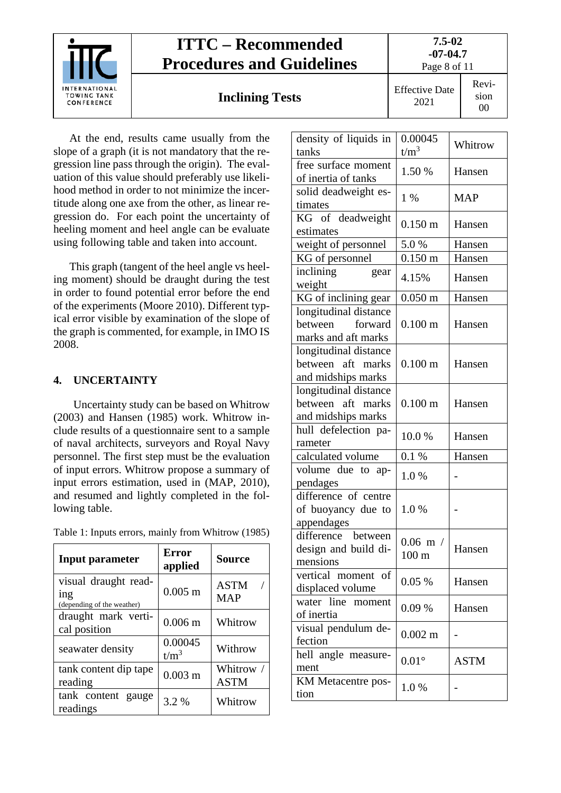

At the end, results came usually from the slope of a graph (it is not mandatory that the regression line pass through the origin). The evaluation of this value should preferably use likelihood method in order to not minimize the incertitude along one axe from the other, as linear regression do. For each point the uncertainty of heeling moment and heel angle can be evaluate using following table and taken into account.

This graph (tangent of the heel angle vs heeling moment) should be draught during the test in order to found potential error before the end of the experiments (Moore 2010). Different typical error visible by examination of the slope of the graph is commented, for example, in IMO IS 2008.

### <span id="page-7-0"></span>**4. UNCERTAINTY**

Uncertainty study can be based on Whitrow (2003) and Hansen (1985) work. Whitrow include results of a questionnaire sent to a sample of naval architects, surveyors and Royal Navy personnel. The first step must be the evaluation of input errors. Whitrow propose a summary of input errors estimation, used in (MAP, 2010), and resumed and lightly completed in the following table.

| Table 1: Inputs errors, mainly from Whitrow (1985) |  |  |  |  |  |  |  |  |
|----------------------------------------------------|--|--|--|--|--|--|--|--|
|----------------------------------------------------|--|--|--|--|--|--|--|--|

| <b>Input parameter</b>                                    | <b>Error</b><br>applied | <b>Source</b>             |
|-----------------------------------------------------------|-------------------------|---------------------------|
| visual draught read-<br>1ng<br>(depending of the weather) | $0.005$ m               | <b>ASTM</b><br><b>MAP</b> |
| draught mark verti-<br>cal position                       | $0.006$ m               | Whitrow                   |
| seawater density                                          | 0.00045<br>$t/m^3$      | Withrow                   |
| tank content dip tape<br>reading                          | $0.003$ m               | Whitrow /<br><b>ASTM</b>  |
| tank content gauge<br>readings                            | 3.2 %                   | Whitrow                   |

| density of liquids in<br>tanks                                   | 0.00045<br>$t/m^3$              | Whitrow     |
|------------------------------------------------------------------|---------------------------------|-------------|
| free surface moment<br>of inertia of tanks                       | 1.50 %                          | Hansen      |
| solid deadweight es-<br>timates                                  | $1\%$                           | <b>MAP</b>  |
| KG of deadweight<br>estimates                                    | $0.150 \;{\rm m}$               | Hansen      |
| weight of personnel                                              | 5.0%                            | Hansen      |
| KG of personnel                                                  | $0.150 \; \text{m}$             | Hansen      |
| inclining<br>gear<br>weight                                      | 4.15%                           | Hansen      |
| KG of inclining gear                                             | $0.050 \;{\rm m}$               | Hansen      |
| longitudinal distance<br>between forward<br>marks and aft marks  | $0.100 \; \mathrm{m}$           | Hansen      |
| longitudinal distance<br>between aft marks<br>and midships marks | $0.100 \; \mathrm{m}$           | Hansen      |
| longitudinal distance<br>between aft marks<br>and midships marks | $0.100 \; \mathrm{m}$           | Hansen      |
| hull defelection pa-<br>rameter                                  | 10.0%                           | Hansen      |
| calculated volume                                                | 0.1 %                           | Hansen      |
| volume due to ap-<br>pendages                                    | 1.0%                            |             |
| difference of centre<br>of buoyancy due to<br>appendages         | 1.0%                            |             |
| difference between<br>design and build di-<br>mensions           | $0.06$ m $/$<br>$100 \text{ m}$ | Hansen      |
| vertical moment of<br>displaced volume                           | 0.05%                           | Hansen      |
| water line moment<br>of inertia                                  | 0.09%                           | Hansen      |
| visual pendulum de-<br>fection                                   | $0.002 \; \mathrm{m}$           |             |
| hell angle measure-<br>ment                                      | $0.01^{\circ}$                  | <b>ASTM</b> |
| KM Metacentre pos-<br>tion                                       | 1.0%                            |             |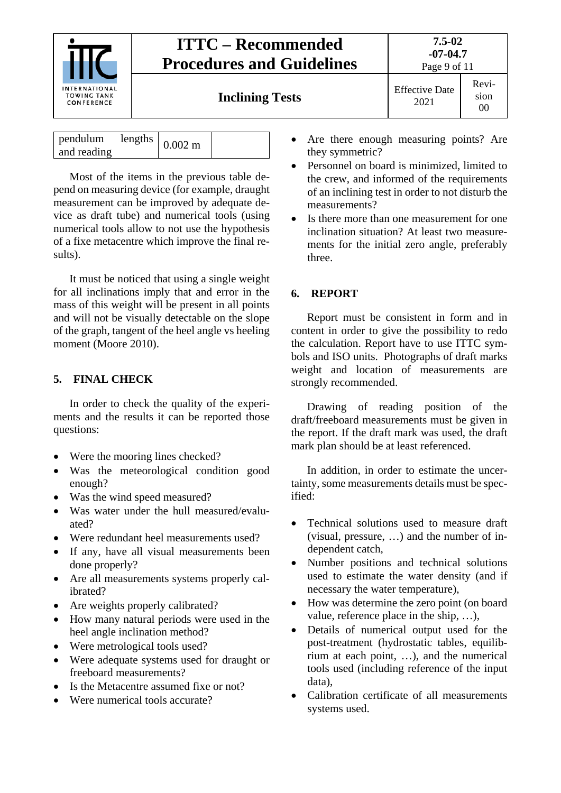

| pendulum<br>$\ln$ lengths $\vert$ 0.002 m<br>and reading |  |  |
|----------------------------------------------------------|--|--|
|----------------------------------------------------------|--|--|

Most of the items in the previous table depend on measuring device (for example, draught measurement can be improved by adequate device as draft tube) and numerical tools (using numerical tools allow to not use the hypothesis of a fixe metacentre which improve the final results).

It must be noticed that using a single weight for all inclinations imply that and error in the mass of this weight will be present in all points and will not be visually detectable on the slope of the graph, tangent of the heel angle vs heeling moment (Moore 2010).

### <span id="page-8-0"></span>**5. FINAL CHECK**

In order to check the quality of the experiments and the results it can be reported those questions:

- Were the mooring lines checked?
- Was the meteorological condition good enough?
- Was the wind speed measured?
- Was water under the hull measured/evaluated?
- Were redundant heel measurements used?
- If any, have all visual measurements been done properly?
- Are all measurements systems properly calibrated?
- Are weights properly calibrated?
- How many natural periods were used in the heel angle inclination method?
- Were metrological tools used?
- Were adequate systems used for draught or freeboard measurements?
- Is the Metacentre assumed fixe or not?
- Were numerical tools accurate?
- Are there enough measuring points? Are they symmetric?
- Personnel on board is minimized, limited to the crew, and informed of the requirements of an inclining test in order to not disturb the measurements?
- Is there more than one measurement for one inclination situation? At least two measurements for the initial zero angle, preferably three.

### <span id="page-8-1"></span>**6. REPORT**

Report must be consistent in form and in content in order to give the possibility to redo the calculation. Report have to use ITTC symbols and ISO units. Photographs of draft marks weight and location of measurements are strongly recommended.

Drawing of reading position of the draft/freeboard measurements must be given in the report. If the draft mark was used, the draft mark plan should be at least referenced.

In addition, in order to estimate the uncertainty, some measurements details must be specified:

- Technical solutions used to measure draft (visual, pressure, …) and the number of independent catch,
- Number positions and technical solutions used to estimate the water density (and if necessary the water temperature),
- How was determine the zero point (on board value, reference place in the ship, …),
- Details of numerical output used for the post-treatment (hydrostatic tables, equilibrium at each point, …), and the numerical tools used (including reference of the input data),
- Calibration certificate of all measurements systems used.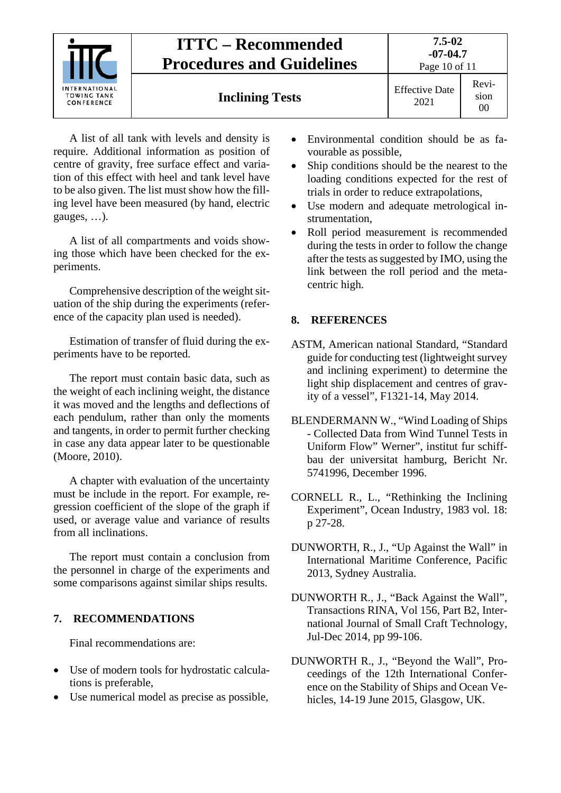

A list of all tank with levels and density is require. Additional information as position of centre of gravity, free surface effect and variation of this effect with heel and tank level have to be also given. The list must show how the filling level have been measured (by hand, electric gauges, …).

A list of all compartments and voids showing those which have been checked for the experiments.

Comprehensive description of the weight situation of the ship during the experiments (reference of the capacity plan used is needed).

Estimation of transfer of fluid during the experiments have to be reported.

The report must contain basic data, such as the weight of each inclining weight, the distance it was moved and the lengths and deflections of each pendulum, rather than only the moments and tangents, in order to permit further checking in case any data appear later to be questionable (Moore, 2010).

A chapter with evaluation of the uncertainty must be include in the report. For example, regression coefficient of the slope of the graph if used, or average value and variance of results from all inclinations.

The report must contain a conclusion from the personnel in charge of the experiments and some comparisons against similar ships results.

#### <span id="page-9-0"></span>**7. RECOMMENDATIONS**

Final recommendations are:

- Use of modern tools for hydrostatic calculations is preferable,
- Use numerical model as precise as possible,
- Environmental condition should be as favourable as possible,
- Ship conditions should be the nearest to the loading conditions expected for the rest of trials in order to reduce extrapolations,
- Use modern and adequate metrological instrumentation,
- Roll period measurement is recommended during the tests in order to follow the change after the tests as suggested by IMO, using the link between the roll period and the metacentric high.

### <span id="page-9-1"></span>**8. REFERENCES**

- ASTM, American national Standard, "Standard guide for conducting test (lightweight survey and inclining experiment) to determine the light ship displacement and centres of gravity of a vessel", F1321-14, May 2014.
- BLENDERMANN W., "Wind Loading of Ships - Collected Data from Wind Tunnel Tests in Uniform Flow" Werner", institut fur schiffbau der universitat hamburg, Bericht Nr. 5741996, December 1996.
- CORNELL R., L., "Rethinking the Inclining Experiment", Ocean Industry, 1983 vol. 18: p 27-28.
- DUNWORTH, R., J., "Up Against the Wall" in International Maritime Conference, Pacific 2013, Sydney Australia.
- DUNWORTH R., J., "Back Against the Wall", Transactions RINA, Vol 156, Part B2, International Journal of Small Craft Technology, Jul-Dec 2014, pp 99-106.
- DUNWORTH R., J., "Beyond the Wall", Proceedings of the 12th International Conference on the Stability of Ships and Ocean Vehicles, 14-19 June 2015, Glasgow, UK.